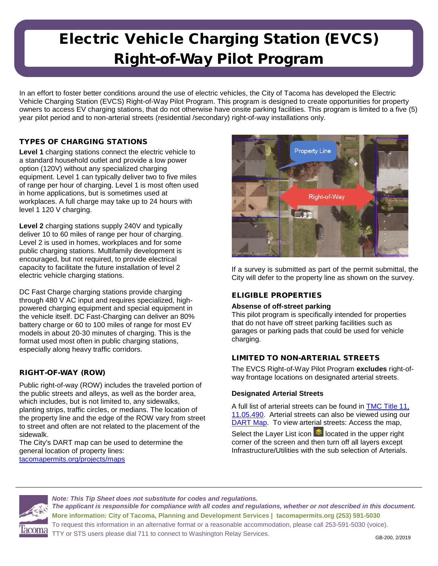## Electric Vehicle Charging Station (EVCS) Right-of-Way Pilot Program

In an effort to foster better conditions around the use of electric vehicles, the City of Tacoma has developed the Electric Vehicle Charging Station (EVCS) Right-of-Way Pilot Program. This program is designed to create opportunities for property owners to access EV charging stations, that do not otherwise have onsite parking facilities. This program is limited to a five (5) year pilot period and to non-arterial streets (residential /secondary) right-of-way installations only.

## TYPES OF CHARGING STATIONS

**Level 1** charging stations connect the electric vehicle to a standard household outlet and provide a low power option (120V) without any specialized charging equipment. Level 1 can typically deliver two to five miles of range per hour of charging. Level 1 is most often used in home applications, but is sometimes used at workplaces. A full charge may take up to 24 hours with level 1 120 V charging.

**Level 2** charging stations supply 240V and typically deliver 10 to 60 miles of range per hour of charging. Level 2 is used in homes, workplaces and for some public charging stations. Multifamily development is encouraged, but not required, to provide electrical capacity to facilitate the future installation of level 2 electric vehicle charging stations.

DC Fast Charge charging stations provide charging through 480 V AC input and requires specialized, highpowered charging equipment and special equipment in the vehicle itself. DC Fast-Charging can deliver an 80% battery charge or 60 to 100 miles of range for most EV models in about 20-30 minutes of charging. This is the format used most often in public charging stations, especially along heavy traffic corridors.

## RIGHT-OF-WAY (ROW)

Public right-of-way (ROW) includes the traveled portion of the public streets and alleys, as well as the border area, which includes, but is not limited to, any sidewalks, planting strips, traffic circles, or medians. The location of the property line and the edge of the ROW vary from street to street and often are not related to the placement of the sidewalk.

The City's DART map can be used to determine the general location of property lines: tacomapermits.org/projects/maps



If a survey is submitted as part of the permit submittal, the City will defer to the property line as shown on the survey.

## ELIGIBLE PROPERTIES

### **Absense of off-street parking**

This pilot program is specifically intended for properties that do not have off street parking facilities such as garages or parking pads that could be used for vehicle charging.

## LIMITED TO NON-ARTERIAL STREETS

The EVCS Right-of-Way Pilot Program **excludes** right-ofway frontage locations on designated arterial streets.

### **Designated Arterial Streets**

A full list of arterial streets can be found in [TMC Title 11,](http://cms.cityoftacoma.org/cityclerk/Files/MunicipalCode/Title11-Traffic.PDF#page=19)  [11.05.490.](http://cms.cityoftacoma.org/cityclerk/Files/MunicipalCode/Title11-Traffic.PDF#page=19) Arterial streets can also be viewed using our [DART Map.](https://wspdsmap.cityoftacoma.org/website/DART/staff/TacomaPermitsMap.htm) To view arterial streets: Access the map,

Select the Layer List icon  $\triangle$  located in the upper right corner of the screen and then turn off all layers except Infrastructure/Utilities with the sub selection of Arterials.



*Note: This Tip Sheet does not substitute for codes and regulations. The applicant is responsible for compliance with all codes and regulations, whether or not described in this document.* **More information: City of Tacoma, Planning and Development Services | tacomapermits.org (253) 591-5030** To request this information in an alternative format or a reasonable accommodation, please call 253-591-5030 (voice). TTY or STS users please dial 711 to connect to Washington Relay Services.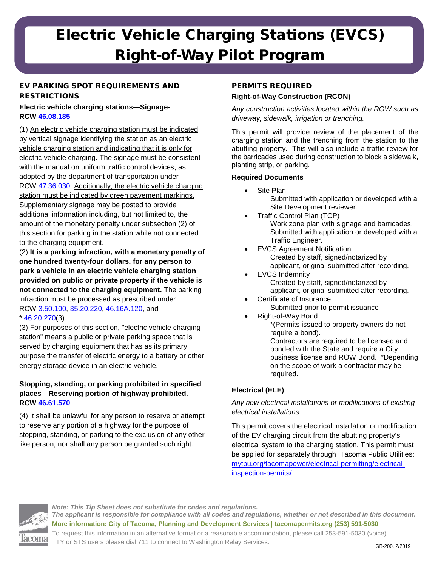# Electric Vehicle Charging Stations (EVCS) Right-of-Way Pilot Program

## EV PARKING SPOT REQUIREMENTS AND **RESTRICTIONS**

## **Electric vehicle charging stations—Signage-RCW [46.08.185](http://app.leg.wa.gov/RCW/default.aspx?cite=46.08.185)**

(1) An electric vehicle charging station must be indicated by vertical signage identifying the station as an electric vehicle charging station and indicating that it is only for electric vehicle charging. The signage must be consistent with the manual on uniform traffic control devices, as adopted by the department of transportation under RCW [47.36.030.](http://app.leg.wa.gov/RCW/default.aspx?cite=47.36.030) Additionally, the electric vehicle charging station must be indicated by green pavement markings. Supplementary signage may be posted to provide additional information including, but not limited to, the amount of the monetary penalty under subsection (2) of this section for parking in the station while not connected to the charging equipment.

(2) **It is a parking infraction, with a monetary penalty of one hundred twenty-four dollars, for any person to park a vehicle in an electric vehicle charging station provided on public or private property if the vehicle is not connected to the charging equipment.** The parking infraction must be processed as prescribed under RCW [3.50.100,](http://app.leg.wa.gov/RCW/default.aspx?cite=3.50.100) [35.20.220,](http://app.leg.wa.gov/RCW/default.aspx?cite=35.20.220) [46.16A.120,](http://app.leg.wa.gov/RCW/default.aspx?cite=46.16A.120) and  $*$  [46.20.270\(](http://app.leg.wa.gov/RCW/default.aspx?cite=46.20.270)3).

(3) For purposes of this section, "electric vehicle charging station" means a public or private parking space that is served by charging equipment that has as its primary purpose the transfer of electric energy to a battery or other energy storage device in an electric vehicle.

### **Stopping, standing, or parking prohibited in specified places—Reserving portion of highway prohibited. RCW [46.61.570](http://app.leg.wa.gov/RCW/default.aspx?cite=46.61.570)**

(4) It shall be unlawful for any person to reserve or attempt to reserve any portion of a highway for the purpose of stopping, standing, or parking to the exclusion of any other like person, nor shall any person be granted such right.

## PERMITS REQUIRED

## **Right-of-Way Construction (RCON)**

*Any construction activities located within the ROW such as driveway, sidewalk, irrigation or trenching.*

This permit will provide review of the placement of the charging station and the trenching from the station to the abutting property. This will also include a traffic review for the barricades used during construction to block a sidewalk, planting strip, or parking.

### **Required Documents**

- Site Plan Submitted with application or developed with a Site Development reviewer.
- Traffic Control Plan (TCP) Work zone plan with signage and barricades. Submitted with application or developed with a Traffic Engineer.
- **EVCS Agreement Notification** Created by staff, signed/notarized by applicant, original submitted after recording.
- **EVCS Indemnity** Created by staff, signed/notarized by applicant, original submitted after recording.
- Certificate of Insurance Submitted prior to permit issuance
- Right-of-Way Bond \*(Permits issued to property owners do not require a bond). Contractors are required to be licensed and bonded with the State and require a City business license and ROW Bond. \*Depending on the scope of work a contractor may be required.

## **Electrical (ELE)**

*Any new electrical installations or modifications of existing electrical installations.*

This permit covers the electrical installation or modification of the EV charging circuit from the abutting property's electrical system to the charging station. This permit must be applied for separately through Tacoma Public Utilities: mytpu.org/tacomapower/electrical-permitting/electricalinspection-permits/

*Note: This Tip Sheet does not substitute for codes and regulations. The applicant is responsible for compliance with all codes and regulations, whether or not described in this document.* **More information: City of Tacoma, Planning and Development Services | tacomapermits.org (253) 591-5030** To request this information in an alternative format or a reasonable accommodation, please call 253-591-5030 (voice). TTY or STS users please dial 711 to connect to Washington Relay Services. GB-200, 2/2019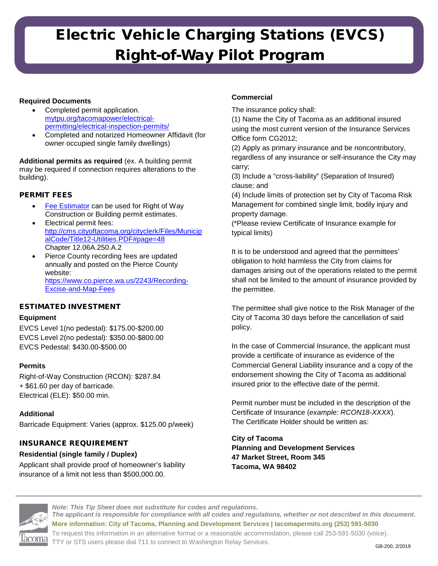# Electric Vehicle Charging Stations (EVCS) Right-of-Way Pilot Program

### **Required Documents**

- Completed permit application. mytpu.org/tacomapower/electricalpermitting/electrical-inspection-permits/
- Completed and notarized Homeowner Affidavit (for owner occupied single family dwellings)

**Additional permits as required** (ex. A building permit may be required if connection requires alterations to the building).

## PERMIT FEES

- [Fee Estimator](http://tacomapermits.org/pds-resource-library/fee-estimator) can be used for Right of Way Construction or Building permit estimates.
- Electrical permit fees: [http://cms.cityoftacoma.org/cityclerk/Files/Municip](http://cms.cityoftacoma.org/cityclerk/Files/MunicipalCode/Title12-Utilities.PDF#page=48) [alCode/Title12-Utilities.PDF#page=48](http://cms.cityoftacoma.org/cityclerk/Files/MunicipalCode/Title12-Utilities.PDF#page=48) Chapter 12.06A.250.A.2
- Pierce County recording fees are updated annually and posted on the Pierce County website: [https://www.co.pierce.wa.us/2243/Recording-](https://www.co.pierce.wa.us/2243/Recording-Excise-and-Map-Fees)[Excise-and-Map-Fees](https://www.co.pierce.wa.us/2243/Recording-Excise-and-Map-Fees)

### ESTIMATED INVESTMENT

### **Equipment**

EVCS Level 1(no pedestal): \$175.00-\$200.00 EVCS Level 2(no pedestal): \$350.00-\$800.00 EVCS Pedestal: \$430.00-\$500.00

### **Permits**

Right-of-Way Construction (RCON): \$287.84 + \$61.60 per day of barricade. Electrical (ELE): \$50.00 min.

### **Additional**

Barricade Equipment: Varies (approx. \$125.00 p/week)

### INSURANCE REQUIREMENT

#### **Residential (single family / Duplex)**

Applicant shall provide proof of homeowner's liability insurance of a limit not less than \$500,000.00.

### **Commercial**

The insurance policy shall:

(1) Name the City of Tacoma as an additional insured using the most current version of the Insurance Services Office form CG2012;

(2) Apply as primary insurance and be noncontributory, regardless of any insurance or self-insurance the City may carry;

(3) Include a "cross-liability" (Separation of Insured) clause; and

(4) Include limits of protection set by City of Tacoma Risk Management for combined single limit, bodily injury and property damage.

(\*Please review Certificate of Insurance example for typical limits)

It is to be understood and agreed that the permittees' obligation to hold harmless the City from claims for damages arising out of the operations related to the permit shall not be limited to the amount of insurance provided by the permittee.

The permittee shall give notice to the Risk Manager of the City of Tacoma 30 days before the cancellation of said policy.

In the case of Commercial Insurance, the applicant must provide a certificate of insurance as evidence of the Commercial General Liability insurance and a copy of the endorsement showing the City of Tacoma as additional insured prior to the effective date of the permit.

Permit number must be included in the description of the Certificate of Insurance (*example: RCON18-XXXX*). The Certificate Holder should be written as:

**City of Tacoma Planning and Development Services 47 Market Street, Room 345 Tacoma, WA 98402**



*Note: This Tip Sheet does not substitute for codes and regulations. The applicant is responsible for compliance with all codes and regulations, whether or not described in this document.* **More information: City of Tacoma, Planning and Development Services | tacomapermits.org (253) 591-5030** To request this information in an alternative format or a reasonable accommodation, please call 253-591-5030 (voice). TTY or STS users please dial 711 to connect to Washington Relay Services. GB-200, 2/2019